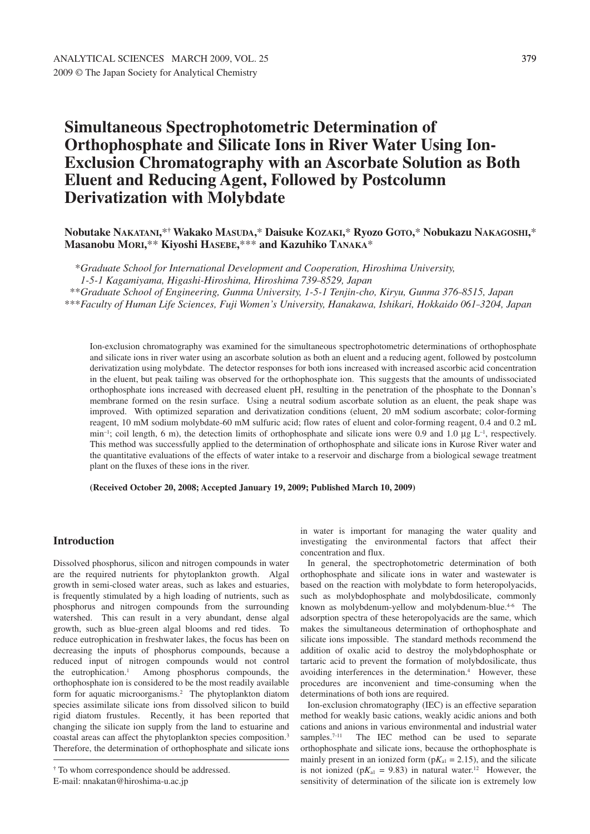**Derivatization with Molybdate**

# **Simultaneous Spectrophotometric Determination of Orthophosphate and Silicate Ions in River Water Using Ion-Exclusion Chromatography with an Ascorbate Solution as Both Eluent and Reducing Agent, Followed by Postcolumn**

**Nobutake NAKATANI,**\***† Wakako MASUDA,**\* **Daisuke KOZAKI,**\* **Ryozo GOTO,**\* **Nobukazu NAKAGOSHI,**\* **Masanobu MORI,**\*\* **Kiyoshi HASEBE,**\*\*\* **and Kazuhiko TANAKA**\*

\**Graduate School for International Development and Cooperation, Hiroshima University,*

*1-5-1 Kagamiyama, Higashi-Hiroshima, Hiroshima 739–8529, Japan*

\*\**Graduate School of Engineering, Gunma University, 1-5-1 Tenjin-cho, Kiryu, Gunma 376–8515, Japan*

\*\*\**Faculty of Human Life Sciences, Fuji Women's University, Hanakawa, Ishikari, Hokkaido 061–3204, Japan*

Ion-exclusion chromatography was examined for the simultaneous spectrophotometric determinations of orthophosphate and silicate ions in river water using an ascorbate solution as both an eluent and a reducing agent, followed by postcolumn derivatization using molybdate. The detector responses for both ions increased with increased ascorbic acid concentration in the eluent, but peak tailing was observed for the orthophosphate ion. This suggests that the amounts of undissociated orthophosphate ions increased with decreased eluent pH, resulting in the penetration of the phosphate to the Donnan's membrane formed on the resin surface. Using a neutral sodium ascorbate solution as an eluent, the peak shape was improved. With optimized separation and derivatization conditions (eluent, 20 mM sodium ascorbate; color-forming reagent, 10 mM sodium molybdate–60 mM sulfuric acid; flow rates of eluent and color-forming reagent, 0.4 and 0.2 mL min<sup>-1</sup>; coil length, 6 m), the detection limits of orthophosphate and silicate ions were 0.9 and 1.0 µg  $L^{-1}$ , respectively. This method was successfully applied to the determination of orthophosphate and silicate ions in Kurose River water and the quantitative evaluations of the effects of water intake to a reservoir and discharge from a biological sewage treatment plant on the fluxes of these ions in the river.

**(Received October 20, 2008; Accepted January 19, 2009; Published March 10, 2009)**

# **Introduction**

Dissolved phosphorus, silicon and nitrogen compounds in water are the required nutrients for phytoplankton growth. Algal growth in semi-closed water areas, such as lakes and estuaries, is frequently stimulated by a high loading of nutrients, such as phosphorus and nitrogen compounds from the surrounding watershed. This can result in a very abundant, dense algal growth, such as blue-green algal blooms and red tides. To reduce eutrophication in freshwater lakes, the focus has been on decreasing the inputs of phosphorus compounds, because a reduced input of nitrogen compounds would not control the eutrophication. Among phosphorus compounds, the orthophosphate ion is considered to be the most readily available form for aquatic microorganisms. <sup>2</sup> The phytoplankton diatom species assimilate silicate ions from dissolved silicon to build rigid diatom frustules. Recently, it has been reported that changing the silicate ion supply from the land to estuarine and coastal areas can affect the phytoplankton species composition. 3 Therefore, the determination of orthophosphate and silicate ions

in water is important for managing the water quality and investigating the environmental factors that affect their concentration and flux.

In general, the spectrophotometric determination of both orthophosphate and silicate ions in water and wastewater is based on the reaction with molybdate to form heteropolyacids, such as molybdophosphate and molybdosilicate, commonly known as molybdenum-yellow and molybdenum-blue.<sup>4-6</sup> The adsorption spectra of these heteropolyacids are the same, which makes the simultaneous determination of orthophosphate and silicate ions impossible. The standard methods recommend the addition of oxalic acid to destroy the molybdophosphate or tartaric acid to prevent the formation of molybdosilicate, thus avoiding interferences in the determination. <sup>4</sup> However, these procedures are inconvenient and time-consuming when the determinations of both ions are required.

Ion-exclusion chromatography (IEC) is an effective separation method for weakly basic cations, weakly acidic anions and both cations and anions in various environmental and industrial water samples.<sup>7-11</sup> The IEC method can be used to separate orthophosphate and silicate ions, because the orthophosphate is mainly present in an ionized form  $(pK_{a1} = 2.15)$ , and the silicate is not ionized ( $pK_{a1} = 9.83$ ) in natural water.<sup>12</sup> However, the sensitivity of determination of the silicate ion is extremely low

**<sup>†</sup>** To whom correspondence should be addressed.

E-mail: nnakatan@hiroshima-u.ac.jp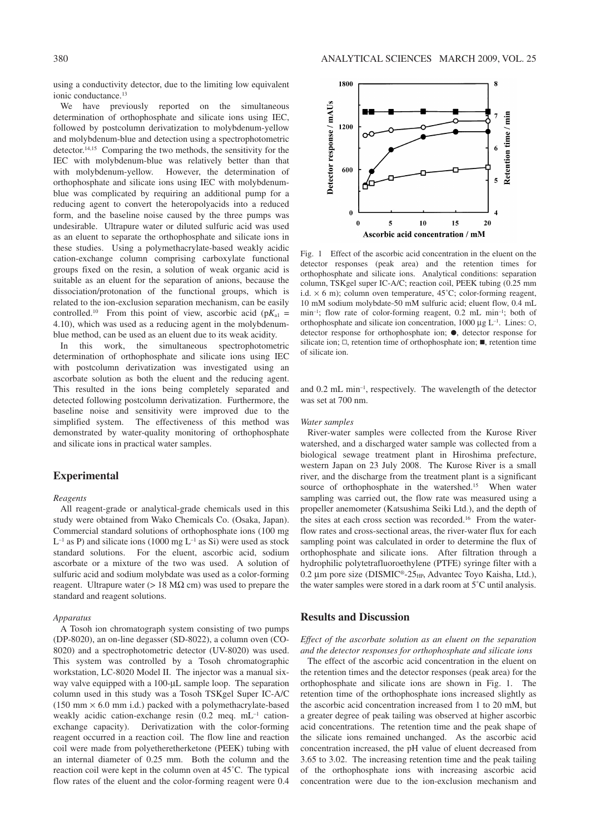using a conductivity detector, due to the limiting low equivalent ionic conductance. 13

We have previously reported on the simultaneous determination of orthophosphate and silicate ions using IEC, followed by postcolumn derivatization to molybdenum-yellow and molybdenum-blue and detection using a spectrophotometric detector. 14,15 Comparing the two methods, the sensitivity for the IEC with molybdenum-blue was relatively better than that with molybdenum-yellow. However, the determination of orthophosphate and silicate ions using IEC with molybdenumblue was complicated by requiring an additional pump for a reducing agent to convert the heteropolyacids into a reduced form, and the baseline noise caused by the three pumps was undesirable. Ultrapure water or diluted sulfuric acid was used as an eluent to separate the orthophosphate and silicate ions in these studies. Using a polymethacrylate-based weakly acidic cation-exchange column comprising carboxylate functional groups fixed on the resin, a solution of weak organic acid is suitable as an eluent for the separation of anions, because the dissociation/protonation of the functional groups, which is related to the ion-exclusion separation mechanism, can be easily controlled.<sup>10</sup> From this point of view, ascorbic acid ( $pK_{a1}$  = 4.10), which was used as a reducing agent in the molybdenumblue method, can be used as an eluent due to its weak acidity.

In this work, the simultaneous spectrophotometric determination of orthophosphate and silicate ions using IEC with postcolumn derivatization was investigated using an ascorbate solution as both the eluent and the reducing agent. This resulted in the ions being completely separated and detected following postcolumn derivatization. Furthermore, the baseline noise and sensitivity were improved due to the simplified system. The effectiveness of this method was demonstrated by water-quality monitoring of orthophosphate and silicate ions in practical water samples.

## **Experimental**

### *Reagents*

All reagent-grade or analytical-grade chemicals used in this study were obtained from Wako Chemicals Co. (Osaka, Japan). Commercial standard solutions of orthophosphate ions (100 mg  $L^{-1}$  as P) and silicate ions (1000 mg  $L^{-1}$  as Si) were used as stock standard solutions. For the eluent, ascorbic acid, sodium ascorbate or a mixture of the two was used. A solution of sulfuric acid and sodium molybdate was used as a color-forming reagent. Ultrapure water ( $> 18$  M $\Omega$  cm) was used to prepare the standard and reagent solutions.

#### *Apparatus*

A Tosoh ion chromatograph system consisting of two pumps (DP-8020), an on-line degasser (SD-8022), a column oven (CO-8020) and a spectrophotometric detector (UV-8020) was used. This system was controlled by a Tosoh chromatographic workstation, LC-8020 Model II. The injector was a manual sixway valve equipped with a 100-µL sample loop. The separation column used in this study was a Tosoh TSKgel Super IC-A/C  $(150 \text{ mm} \times 6.0 \text{ mm} \text{ i.d.})$  packed with a polymethacrylate-based weakly acidic cation-exchange resin (0.2 meq. mL<sup>-1</sup> cationexchange capacity). Derivatization with the color-forming reagent occurred in a reaction coil. The flow line and reaction coil were made from polyetheretherketone (PEEK) tubing with an internal diameter of 0.25 mm. Both the column and the reaction coil were kept in the column oven at 45˚C. The typical flow rates of the eluent and the color-forming reagent were 0.4



Fig. 1 Effect of the ascorbic acid concentration in the eluent on the detector responses (peak area) and the retention times for orthophosphate and silicate ions. Analytical conditions: separation column, TSKgel super IC-A/C; reaction coil, PEEK tubing (0.25 mm i.d.  $\times$  6 m); column oven temperature, 45°C; color-forming reagent, 10 mM sodium molybdate–50 mM sulfuric acid; eluent flow, 0.4 mL min<sup>-1</sup>; flow rate of color-forming reagent, 0.2 mL min<sup>-1</sup>; both of orthophosphate and silicate ion concentration,  $1000 \mu g L^{-1}$ . Lines:  $\circ$ , detector response for orthophosphate ion;  $\bullet$ , detector response for silicate ion;  $\Box$ , retention time of orthophosphate ion;  $\blacksquare$ , retention time of silicate ion.

and 0.2 mL min–1, respectively. The wavelength of the detector was set at 700 nm.

#### *Water samples*

River-water samples were collected from the Kurose River watershed, and a discharged water sample was collected from a biological sewage treatment plant in Hiroshima prefecture, western Japan on 23 July 2008. The Kurose River is a small river, and the discharge from the treatment plant is a significant source of orthophosphate in the watershed. <sup>15</sup> When water sampling was carried out, the flow rate was measured using a propeller anemometer (Katsushima Seiki Ltd.), and the depth of the sites at each cross section was recorded. <sup>16</sup> From the waterflow rates and cross-sectional areas, the river-water flux for each sampling point was calculated in order to determine the flux of orthophosphate and silicate ions. After filtration through a hydrophilic polytetrafluoroethylene (PTFE) syringe filter with a 0.2 µm pore size (DISMIC®-25<sub>HP</sub>, Advantec Toyo Kaisha, Ltd.), the water samples were stored in a dark room at 5˚C until analysis.

## **Results and Discussion**

*Effect of the ascorbate solution as an eluent on the separation and the detector responses for orthophosphate and silicate ions*

The effect of the ascorbic acid concentration in the eluent on the retention times and the detector responses (peak area) for the orthophosphate and silicate ions are shown in Fig. 1. The retention time of the orthophosphate ions increased slightly as the ascorbic acid concentration increased from 1 to 20 mM, but a greater degree of peak tailing was observed at higher ascorbic acid concentrations. The retention time and the peak shape of the silicate ions remained unchanged. As the ascorbic acid concentration increased, the pH value of eluent decreased from 3.65 to 3.02. The increasing retention time and the peak tailing of the orthophosphate ions with increasing ascorbic acid concentration were due to the ion-exclusion mechanism and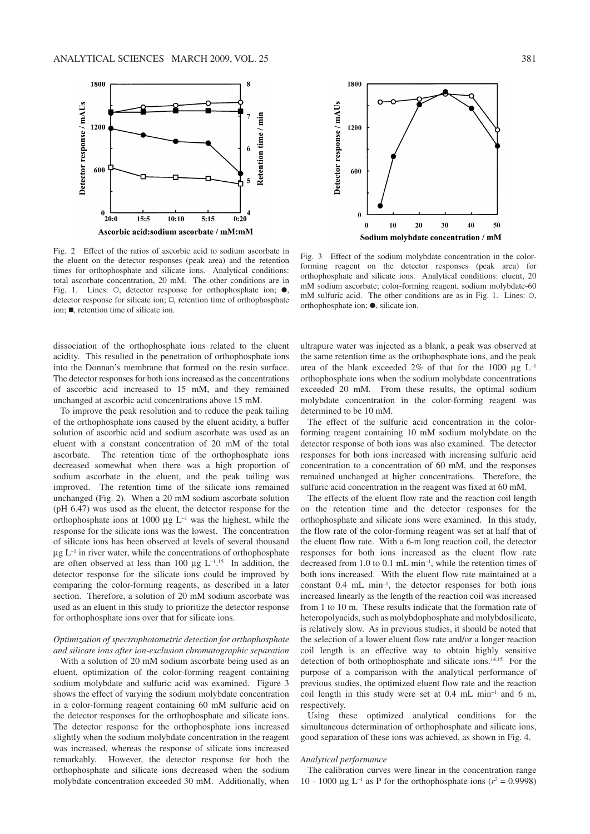

Fig. 2 Effect of the ratios of ascorbic acid to sodium ascorbate in the eluent on the detector responses (peak area) and the retention times for orthophosphate and silicate ions. Analytical conditions: total ascorbate concentration, 20 mM. The other conditions are in Fig. 1. Lines:  $\circ$ , detector response for orthophosphate ion;  $\bullet$ , detector response for silicate ion;  $\square$ , retention time of orthophosphate  $\mathbf{u}$ , retention time of silicate ion.

dissociation of the orthophosphate ions related to the eluent acidity. This resulted in the penetration of orthophosphate ions into the Donnan's membrane that formed on the resin surface. The detector responses for both ions increased as the concentrations of ascorbic acid increased to 15 mM, and they remained unchanged at ascorbic acid concentrations above 15 mM.

To improve the peak resolution and to reduce the peak tailing of the orthophosphate ions caused by the eluent acidity, a buffer solution of ascorbic acid and sodium ascorbate was used as an eluent with a constant concentration of 20 mM of the total ascorbate. The retention time of the orthophosphate ions decreased somewhat when there was a high proportion of sodium ascorbate in the eluent, and the peak tailing was improved. The retention time of the silicate ions remained unchanged (Fig. 2). When a 20 mM sodium ascorbate solution (pH 6.47) was used as the eluent, the detector response for the orthophosphate ions at 1000  $\mu$ g L<sup>-1</sup> was the highest, while the response for the silicate ions was the lowest. The concentration of silicate ions has been observed at levels of several thousand  $\mu$ g L<sup>-1</sup> in river water, while the concentrations of orthophosphate are often observed at less than 100  $\mu$ g L<sup>-1</sup>.<sup>15</sup> In addition, the detector response for the silicate ions could be improved by comparing the color-forming reagents, as described in a later section. Therefore, a solution of 20 mM sodium ascorbate was used as an eluent in this study to prioritize the detector response for orthophosphate ions over that for silicate ions.

## *Optimization of spectrophotometric detection for orthophosphate and silicate ions after ion-exclusion chromatographic separation*

With a solution of 20 mM sodium ascorbate being used as an eluent, optimization of the color-forming reagent containing sodium molybdate and sulfuric acid was examined. Figure 3 shows the effect of varying the sodium molybdate concentration in a color-forming reagent containing 60 mM sulfuric acid on the detector responses for the orthophosphate and silicate ions. The detector response for the orthophosphate ions increased slightly when the sodium molybdate concentration in the reagent was increased, whereas the response of silicate ions increased remarkably. However, the detector response for both the orthophosphate and silicate ions decreased when the sodium molybdate concentration exceeded 30 mM. Additionally, when



Fig. 3 Effect of the sodium molybdate concentration in the colorforming reagent on the detector responses (peak area) for orthophosphate and silicate ions. Analytical conditions: eluent, 20 mM sodium ascorbate; color-forming reagent, sodium molybdate–60  $m$ M sulfuric acid. The other conditions are as in Fig. 1. Lines:  $\circ$ , orthophosphate ion;  $\bullet$ , silicate ion.

ultrapure water was injected as a blank, a peak was observed at the same retention time as the orthophosphate ions, and the peak area of the blank exceeded  $2\%$  of that for the 1000 µg L<sup>-1</sup> orthophosphate ions when the sodium molybdate concentrations exceeded 20 mM. From these results, the optimal sodium molybdate concentration in the color-forming reagent was determined to be 10 mM.

The effect of the sulfuric acid concentration in the colorforming reagent containing 10 mM sodium molybdate on the detector response of both ions was also examined. The detector responses for both ions increased with increasing sulfuric acid concentration to a concentration of 60 mM, and the responses remained unchanged at higher concentrations. Therefore, the sulfuric acid concentration in the reagent was fixed at 60 mM.

The effects of the eluent flow rate and the reaction coil length on the retention time and the detector responses for the orthophosphate and silicate ions were examined. In this study, the flow rate of the color-forming reagent was set at half that of the eluent flow rate. With a 6-m long reaction coil, the detector responses for both ions increased as the eluent flow rate decreased from 1.0 to 0.1 mL min–1 , while the retention times of both ions increased. With the eluent flow rate maintained at a constant 0.4 mL min–1, the detector responses for both ions increased linearly as the length of the reaction coil was increased from 1 to 10 m. These results indicate that the formation rate of heteropolyacids, such as molybdophosphate and molybdosilicate, is relatively slow. As in previous studies, it should be noted that the selection of a lower eluent flow rate and/or a longer reaction coil length is an effective way to obtain highly sensitive detection of both orthophosphate and silicate ions. 14,15 For the purpose of a comparison with the analytical performance of previous studies, the optimized eluent flow rate and the reaction coil length in this study were set at  $0.4$  mL min<sup>-1</sup> and 6 m, respectively.

Using these optimized analytical conditions for the simultaneous determination of orthophosphate and silicate ions, good separation of these ions was achieved, as shown in Fig. 4.

## *Analytical performance*

The calibration curves were linear in the concentration range 10 – 1000  $\mu$ g L<sup>-1</sup> as P for the orthophosphate ions ( $r^2 = 0.9998$ )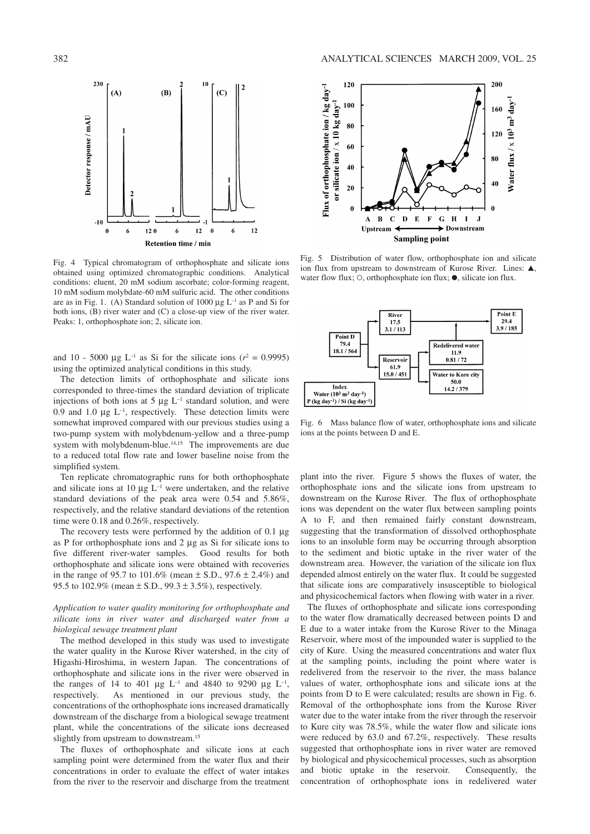

Fig. 4 Typical chromatogram of orthophosphate and silicate ions obtained using optimized chromatographic conditions. Analytical conditions: eluent, 20 mM sodium ascorbate; color-forming reagent, 10 mM sodium molybdate–60 mM sulfuric acid. The other conditions are as in Fig. 1. (A) Standard solution of 1000  $\mu$ g L<sup>-1</sup> as P and Si for both ions, (B) river water and (C) a close-up view of the river water. Peaks: 1, orthophosphate ion; 2, silicate ion.

and 10 – 5000  $\mu$ g L<sup>-1</sup> as Si for the silicate ions ( $r^2 = 0.9995$ ) using the optimized analytical conditions in this study.

The detection limits of orthophosphate and silicate ions corresponded to three-times the standard deviation of triplicate injections of both ions at 5  $\mu$ g L<sup>-1</sup> standard solution, and were 0.9 and 1.0  $\mu$ g L<sup>-1</sup>, respectively. These detection limits were somewhat improved compared with our previous studies using a two-pump system with molybdenum-yellow and a three-pump system with molybdenum-blue.<sup>14,15</sup> The improvements are due to a reduced total flow rate and lower baseline noise from the simplified system.

Ten replicate chromatographic runs for both orthophosphate and silicate ions at 10  $\mu$ g L<sup>-1</sup> were undertaken, and the relative standard deviations of the peak area were 0.54 and 5.86%, respectively, and the relative standard deviations of the retention time were 0.18 and 0.26%, respectively.

The recovery tests were performed by the addition of  $0.1 \mu$ g as P for orthophosphate ions and  $2 \mu$ g as Si for silicate ions to five different river-water samples. Good results for both orthophosphate and silicate ions were obtained with recoveries in the range of 95.7 to 101.6% (mean  $\pm$  S.D., 97.6  $\pm$  2.4%) and 95.5 to 102.9% (mean  $\pm$  S.D., 99.3  $\pm$  3.5%), respectively.

## *Application to water quality monitoring for orthophosphate and silicate ions in river water and discharged water from a biological sewage treatment plant*

The method developed in this study was used to investigate the water quality in the Kurose River watershed, in the city of Higashi-Hiroshima, in western Japan. The concentrations of orthophosphate and silicate ions in the river were observed in the ranges of 14 to 401 µg  $L^{-1}$  and 4840 to 9290 µg  $L^{-1}$ , respectively. As mentioned in our previous study, the concentrations of the orthophosphate ions increased dramatically downstream of the discharge from a biological sewage treatment plant, while the concentrations of the silicate ions decreased slightly from upstream to downstream. 15

The fluxes of orthophosphate and silicate ions at each sampling point were determined from the water flux and their concentrations in order to evaluate the effect of water intakes from the river to the reservoir and discharge from the treatment



Fig. 5 Distribution of water flow, orthophosphate ion and silicate ion flux from upstream to downstream of Kurose River. Lines:  $\triangle$ . water flow flux;  $\circ$ , orthophosphate ion flux;  $\bullet$ , silicate ion flux.



Fig. 6 Mass balance flow of water, orthophosphate ions and silicate ions at the points between D and E.

plant into the river. Figure 5 shows the fluxes of water, the orthophosphate ions and the silicate ions from upstream to downstream on the Kurose River. The flux of orthophosphate ions was dependent on the water flux between sampling points A to F, and then remained fairly constant downstream, suggesting that the transformation of dissolved orthophosphate ions to an insoluble form may be occurring through absorption to the sediment and biotic uptake in the river water of the downstream area. However, the variation of the silicate ion flux depended almost entirely on the water flux. It could be suggested that silicate ions are comparatively insusceptible to biological and physicochemical factors when flowing with water in a river.

The fluxes of orthophosphate and silicate ions corresponding to the water flow dramatically decreased between points D and E due to a water intake from the Kurose River to the Minaga Reservoir, where most of the impounded water is supplied to the city of Kure. Using the measured concentrations and water flux at the sampling points, including the point where water is redelivered from the reservoir to the river, the mass balance values of water, orthophosphate ions and silicate ions at the points from D to E were calculated; results are shown in Fig. 6. Removal of the orthophosphate ions from the Kurose River water due to the water intake from the river through the reservoir to Kure city was 78.5%, while the water flow and silicate ions were reduced by 63.0 and 67.2%, respectively. These results suggested that orthophosphate ions in river water are removed by biological and physicochemical processes, such as absorption and biotic uptake in the reservoir. Consequently, the concentration of orthophosphate ions in redelivered water